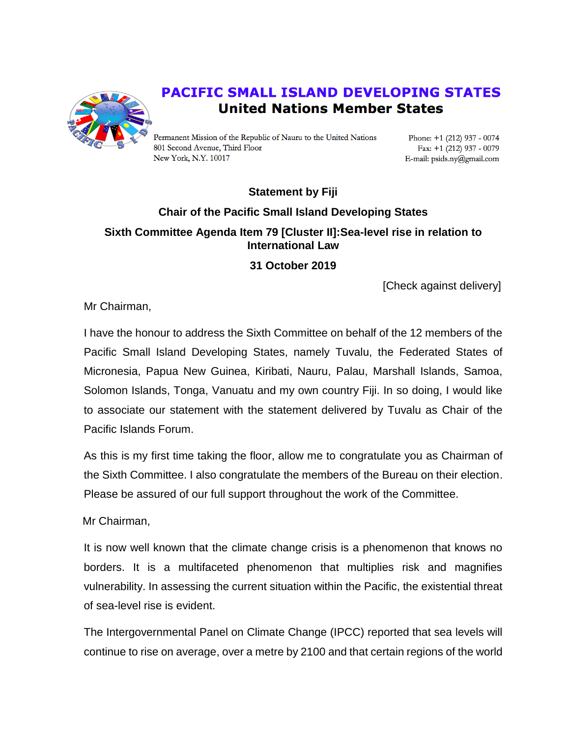

## **PACIFIC SMALL ISLAND DEVELOPING STATES United Nations Member States**

Permanent Mission of the Republic of Nauru to the United Nations 801 Second Avenue, Third Floor New York, N.Y. 10017

Phone: +1 (212) 937 - 0074 Fax: +1 (212) 937 - 0079 E-mail: psids.ny@gmail.com

## **Statement by Fiji Chair of the Pacific Small Island Developing States Sixth Committee Agenda Item 79 [Cluster II]:Sea-level rise in relation to International Law**

**31 October 2019**

[Check against delivery]

Mr Chairman,

I have the honour to address the Sixth Committee on behalf of the 12 members of the Pacific Small Island Developing States, namely Tuvalu, the Federated States of Micronesia, Papua New Guinea, Kiribati, Nauru, Palau, Marshall Islands, Samoa, Solomon Islands, Tonga, Vanuatu and my own country Fiji. In so doing, I would like to associate our statement with the statement delivered by Tuvalu as Chair of the Pacific Islands Forum.

As this is my first time taking the floor, allow me to congratulate you as Chairman of the Sixth Committee. I also congratulate the members of the Bureau on their election. Please be assured of our full support throughout the work of the Committee.

Mr Chairman,

It is now well known that the climate change crisis is a phenomenon that knows no borders. It is a multifaceted phenomenon that multiplies risk and magnifies vulnerability. In assessing the current situation within the Pacific, the existential threat of sea-level rise is evident.

The Intergovernmental Panel on Climate Change (IPCC) reported that sea levels will continue to rise on average, over a metre by 2100 and that certain regions of the world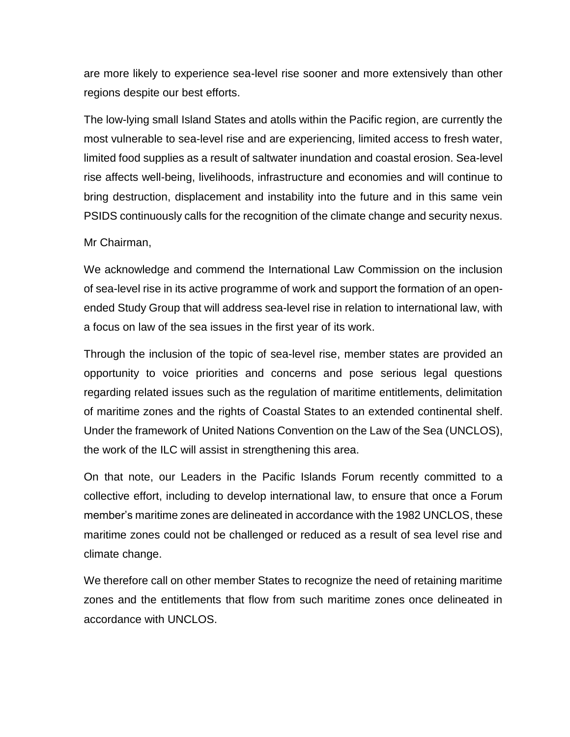are more likely to experience sea-level rise sooner and more extensively than other regions despite our best efforts.

The low-lying small Island States and atolls within the Pacific region, are currently the most vulnerable to sea-level rise and are experiencing, limited access to fresh water, limited food supplies as a result of saltwater inundation and coastal erosion. Sea-level rise affects well-being, livelihoods, infrastructure and economies and will continue to bring destruction, displacement and instability into the future and in this same vein PSIDS continuously calls for the recognition of the climate change and security nexus.

## Mr Chairman,

We acknowledge and commend the International Law Commission on the inclusion of sea-level rise in its active programme of work and support the formation of an openended Study Group that will address sea-level rise in relation to international law, with a focus on law of the sea issues in the first year of its work.

Through the inclusion of the topic of sea-level rise, member states are provided an opportunity to voice priorities and concerns and pose serious legal questions regarding related issues such as the regulation of maritime entitlements, delimitation of maritime zones and the rights of Coastal States to an extended continental shelf. Under the framework of United Nations Convention on the Law of the Sea (UNCLOS), the work of the ILC will assist in strengthening this area.

On that note, our Leaders in the Pacific Islands Forum recently committed to a collective effort, including to develop international law, to ensure that once a Forum member's maritime zones are delineated in accordance with the 1982 UNCLOS, these maritime zones could not be challenged or reduced as a result of sea level rise and climate change.

We therefore call on other member States to recognize the need of retaining maritime zones and the entitlements that flow from such maritime zones once delineated in accordance with UNCLOS.